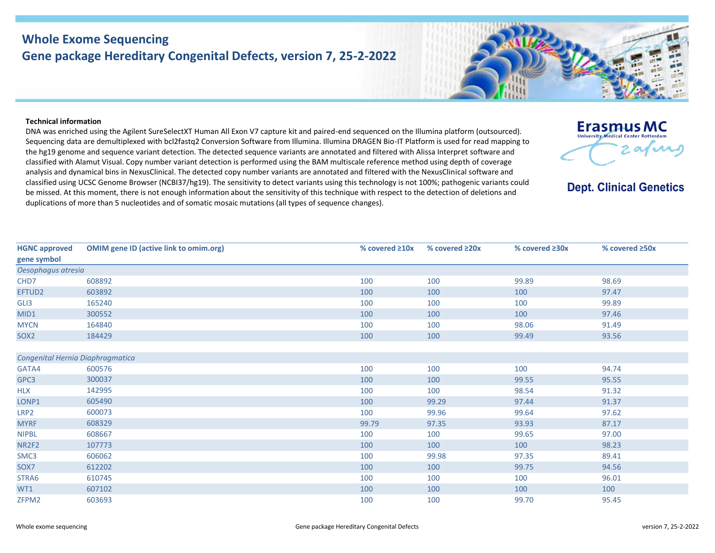# **Whole Exome Sequencing Gene package Hereditary Congenital Defects, version 7, 25-2-2022**



### **Technical information**

DNA was enriched using the Agilent SureSelectXT Human All Exon V7 capture kit and paired-end sequenced on the Illumina platform (outsourced). Sequencing data are demultiplexed with bcl2fastq2 Conversion Software from Illumina. Illumina DRAGEN Bio-IT Platform is used for read mapping to the hg19 genome and sequence variant detection. The detected sequence variants are annotated and filtered with Alissa Interpret software and classified with Alamut Visual. Copy number variant detection is performed using the BAM multiscale reference method using depth of coverage analysis and dynamical bins in NexusClinical. The detected copy number variants are annotated and filtered with the NexusClinical software and classified using UCSC Genome Browser (NCBI37/hg19). The sensitivity to detect variants using this technology is not 100%; pathogenic variants could be missed. At this moment, there is not enough information about the sensitivity of this technique with respect to the detection of deletions and duplications of more than 5 nucleotides and of somatic mosaic mutations (all types of sequence changes).

| Erasmus MC                                 |
|--------------------------------------------|
| <b>University Medical Center Rotterdam</b> |
| $2$ as $\cal{M}$                           |
|                                            |

**Dept. Clinical Genetics** 

| <b>HGNC approved</b>             | <b>OMIM gene ID (active link to omim.org)</b> | % covered $\geq 10x$ | % covered $\geq 20x$ | % covered ≥30x | % covered ≥50x |  |  |  |
|----------------------------------|-----------------------------------------------|----------------------|----------------------|----------------|----------------|--|--|--|
| gene symbol                      |                                               |                      |                      |                |                |  |  |  |
| Oesophagus atresia               |                                               |                      |                      |                |                |  |  |  |
| CHD7                             | 608892                                        | 100                  | 100                  | 99.89          | 98.69          |  |  |  |
| EFTUD2                           | 603892                                        | 100                  | 100                  | 100            | 97.47          |  |  |  |
| GLI3                             | 165240                                        | 100                  | 100                  | 100            | 99.89          |  |  |  |
| MID1                             | 300552                                        | 100                  | 100                  | 100            | 97.46          |  |  |  |
| <b>MYCN</b>                      | 164840                                        | 100                  | 100                  | 98.06          | 91.49          |  |  |  |
| SOX <sub>2</sub>                 | 184429                                        | 100                  | 100                  | 99.49          | 93.56          |  |  |  |
|                                  |                                               |                      |                      |                |                |  |  |  |
| Congenital Hernia Diaphragmatica |                                               |                      |                      |                |                |  |  |  |
| GATA4                            | 600576                                        | 100                  | 100                  | 100            | 94.74          |  |  |  |
| GPC3                             | 300037                                        | 100                  | 100                  | 99.55          | 95.55          |  |  |  |
| <b>HLX</b>                       | 142995                                        | 100                  | 100                  | 98.54          | 91.32          |  |  |  |
| LONP1                            | 605490                                        | 100                  | 99.29                | 97.44          | 91.37          |  |  |  |
| LRP <sub>2</sub>                 | 600073                                        | 100                  | 99.96                | 99.64          | 97.62          |  |  |  |
| <b>MYRF</b>                      | 608329                                        | 99.79                | 97.35                | 93.93          | 87.17          |  |  |  |
| <b>NIPBL</b>                     | 608667                                        | 100                  | 100                  | 99.65          | 97.00          |  |  |  |
| NR2F2                            | 107773                                        | 100                  | 100                  | 100            | 98.23          |  |  |  |
| SMC3                             | 606062                                        | 100                  | 99.98                | 97.35          | 89.41          |  |  |  |
| SOX7                             | 612202                                        | 100                  | 100                  | 99.75          | 94.56          |  |  |  |
| STRA6                            | 610745                                        | 100                  | 100                  | 100            | 96.01          |  |  |  |
| WT1                              | 607102                                        | 100                  | 100                  | 100            | 100            |  |  |  |
| ZFPM2                            | 603693                                        | 100                  | 100                  | 99.70          | 95.45          |  |  |  |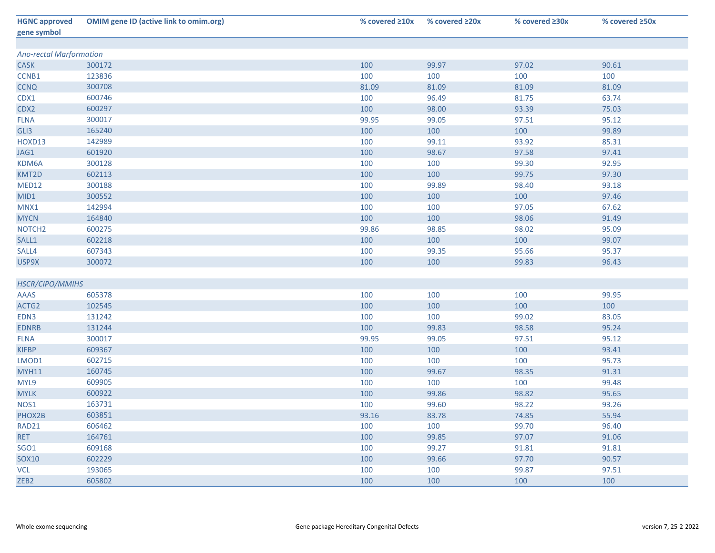| <b>HGNC approved</b>           | <b>OMIM gene ID (active link to omim.org)</b> | % covered $\geq 10x$ | % covered $\geq 20x$ | % covered $\geq 30x$ | % covered ≥50x |  |  |  |
|--------------------------------|-----------------------------------------------|----------------------|----------------------|----------------------|----------------|--|--|--|
| gene symbol                    |                                               |                      |                      |                      |                |  |  |  |
| <b>Ano-rectal Marformation</b> |                                               |                      |                      |                      |                |  |  |  |
| <b>CASK</b>                    | 300172                                        | 100                  | 99.97                | 97.02                | 90.61          |  |  |  |
| CCNB1                          | 123836                                        | 100                  | 100                  | 100                  | 100            |  |  |  |
| <b>CCNQ</b>                    | 300708                                        | 81.09                | 81.09                | 81.09                | 81.09          |  |  |  |
| CDX1                           | 600746                                        | 100                  | 96.49                | 81.75                | 63.74          |  |  |  |
| CDX2                           | 600297                                        | 100                  | 98.00                | 93.39                | 75.03          |  |  |  |
| <b>FLNA</b>                    | 300017                                        | 99.95                | 99.05                | 97.51                | 95.12          |  |  |  |
| GLI3                           | 165240                                        | 100                  | 100                  | 100                  | 99.89          |  |  |  |
| HOXD13                         | 142989                                        | 100                  | 99.11                | 93.92                | 85.31          |  |  |  |
| JAG1                           | 601920                                        | 100                  | 98.67                | 97.58                | 97.41          |  |  |  |
| KDM6A                          | 300128                                        | 100                  | 100                  | 99.30                | 92.95          |  |  |  |
| KMT2D                          | 602113                                        | 100                  | 100                  | 99.75                | 97.30          |  |  |  |
| MED12                          | 300188                                        | 100                  | 99.89                | 98.40                | 93.18          |  |  |  |
| MID1                           | 300552                                        | 100                  | 100                  | 100                  | 97.46          |  |  |  |
| MNX1                           | 142994                                        | 100                  | 100                  | 97.05                | 67.62          |  |  |  |
| <b>MYCN</b>                    | 164840                                        | 100                  | 100                  | 98.06                | 91.49          |  |  |  |
| NOTCH <sub>2</sub>             | 600275                                        | 99.86                | 98.85                | 98.02                | 95.09          |  |  |  |
| SALL1                          | 602218                                        | 100                  | 100                  | 100                  | 99.07          |  |  |  |
| SALL4                          | 607343                                        | 100                  | 99.35                | 95.66                | 95.37          |  |  |  |
| USP9X                          | 300072                                        | 100                  | 100                  | 99.83                | 96.43          |  |  |  |
|                                |                                               |                      |                      |                      |                |  |  |  |
| HSCR/CIPO/MMIHS                |                                               |                      |                      |                      |                |  |  |  |
| <b>AAAS</b>                    | 605378                                        | 100                  | 100                  | 100                  | 99.95          |  |  |  |
| ACTG2                          | 102545                                        | 100                  | 100                  | 100                  | 100            |  |  |  |
| EDN3                           | 131242                                        | 100                  | 100                  | 99.02                | 83.05          |  |  |  |
| <b>EDNRB</b>                   | 131244                                        | 100                  | 99.83                | 98.58                | 95.24          |  |  |  |
| <b>FLNA</b>                    | 300017                                        | 99.95                | 99.05                | 97.51                | 95.12          |  |  |  |
| <b>KIFBP</b>                   | 609367                                        | 100                  | 100                  | 100                  | 93.41          |  |  |  |
| LMOD1                          | 602715                                        | 100                  | 100                  | 100                  | 95.73          |  |  |  |
| <b>MYH11</b>                   | 160745                                        | 100                  | 99.67                | 98.35                | 91.31          |  |  |  |
| MYL9                           | 609905                                        | 100                  | 100                  | 100                  | 99.48          |  |  |  |
| <b>MYLK</b>                    | 600922                                        | 100                  | 99.86                | 98.82                | 95.65          |  |  |  |
| NOS1                           | 163731                                        | 100                  | 99.60                | 98.22                | 93.26          |  |  |  |
| PHOX2B                         | 603851                                        | 93.16                | 83.78                | 74.85                | 55.94          |  |  |  |
| RAD21                          | 606462                                        | 100                  | 100                  | 99.70                | 96.40          |  |  |  |
| <b>RET</b>                     | 164761                                        | 100                  | 99.85                | 97.07                | 91.06          |  |  |  |
| <b>SGO1</b>                    | 609168                                        | 100                  | 99.27                | 91.81                | 91.81          |  |  |  |
| <b>SOX10</b>                   | 602229                                        | 100                  | 99.66                | 97.70                | 90.57          |  |  |  |
| <b>VCL</b>                     | 193065                                        | 100                  | 100                  | 99.87                | 97.51          |  |  |  |
| ZEB <sub>2</sub>               | 605802                                        | 100                  | 100                  | 100                  | 100            |  |  |  |